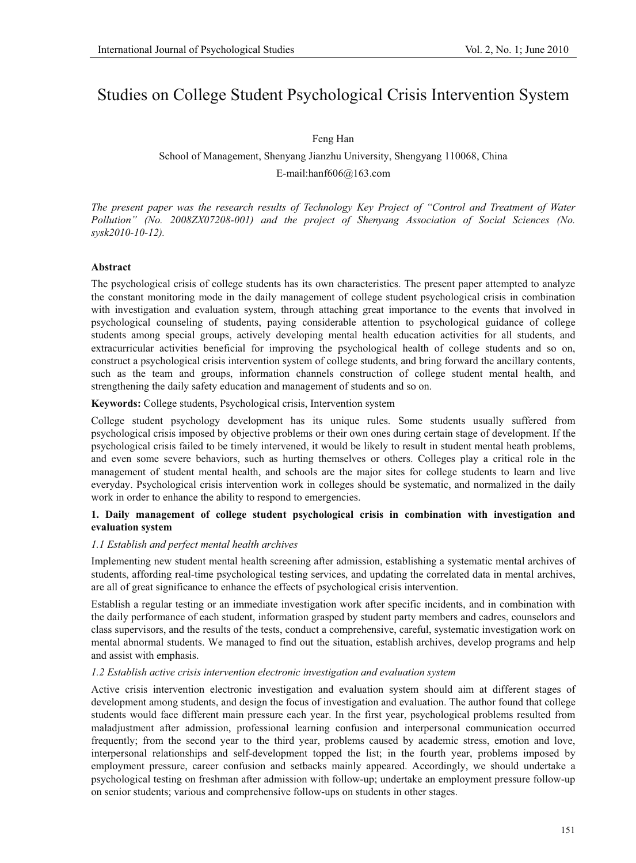# Studies on College Student Psychological Crisis Intervention System

#### Feng Han

# School of Management, Shenyang Jianzhu University, Shengyang 110068, China E-mail:hanf606@163.com

*The present paper was the research results of Technology Key Project of "Control and Treatment of Water Pollution" (No. 2008ZX07208-001) and the project of Shenyang Association of Social Sciences (No. sysk2010-10-12).* 

# **Abstract**

The psychological crisis of college students has its own characteristics. The present paper attempted to analyze the constant monitoring mode in the daily management of college student psychological crisis in combination with investigation and evaluation system, through attaching great importance to the events that involved in psychological counseling of students, paying considerable attention to psychological guidance of college students among special groups, actively developing mental health education activities for all students, and extracurricular activities beneficial for improving the psychological health of college students and so on, construct a psychological crisis intervention system of college students, and bring forward the ancillary contents, such as the team and groups, information channels construction of college student mental health, and strengthening the daily safety education and management of students and so on.

**Keywords:** College students, Psychological crisis, Intervention system

College student psychology development has its unique rules. Some students usually suffered from psychological crisis imposed by objective problems or their own ones during certain stage of development. If the psychological crisis failed to be timely intervened, it would be likely to result in student mental heath problems, and even some severe behaviors, such as hurting themselves or others. Colleges play a critical role in the management of student mental health, and schools are the major sites for college students to learn and live everyday. Psychological crisis intervention work in colleges should be systematic, and normalized in the daily work in order to enhance the ability to respond to emergencies.

# **1. Daily management of college student psychological crisis in combination with investigation and evaluation system**

#### *1.1 Establish and perfect mental health archives*

Implementing new student mental health screening after admission, establishing a systematic mental archives of students, affording real-time psychological testing services, and updating the correlated data in mental archives, are all of great significance to enhance the effects of psychological crisis intervention.

Establish a regular testing or an immediate investigation work after specific incidents, and in combination with the daily performance of each student, information grasped by student party members and cadres, counselors and class supervisors, and the results of the tests, conduct a comprehensive, careful, systematic investigation work on mental abnormal students. We managed to find out the situation, establish archives, develop programs and help and assist with emphasis.

#### *1.2 Establish active crisis intervention electronic investigation and evaluation system*

Active crisis intervention electronic investigation and evaluation system should aim at different stages of development among students, and design the focus of investigation and evaluation. The author found that college students would face different main pressure each year. In the first year, psychological problems resulted from maladjustment after admission, professional learning confusion and interpersonal communication occurred frequently; from the second year to the third year, problems caused by academic stress, emotion and love, interpersonal relationships and self-development topped the list; in the fourth year, problems imposed by employment pressure, career confusion and setbacks mainly appeared. Accordingly, we should undertake a psychological testing on freshman after admission with follow-up; undertake an employment pressure follow-up on senior students; various and comprehensive follow-ups on students in other stages.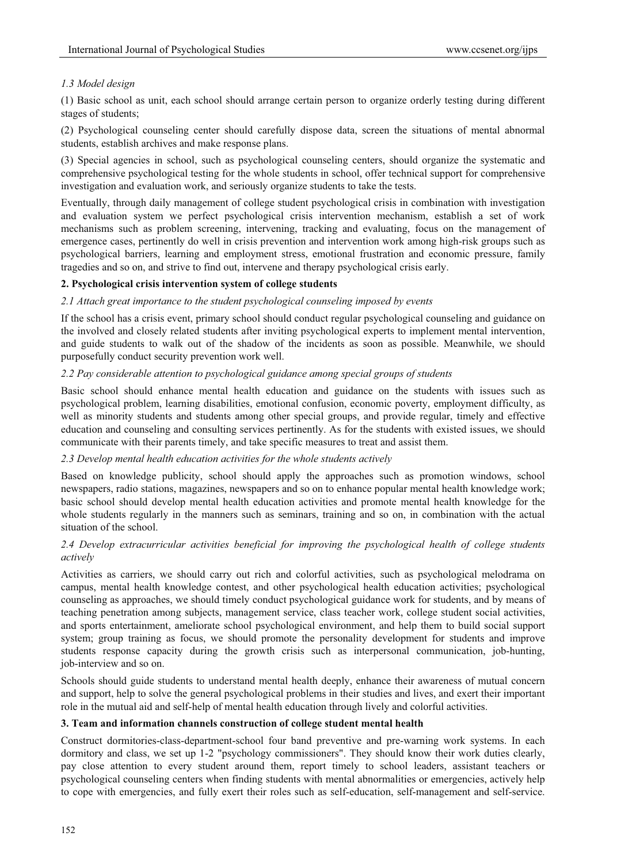# *1.3 Model design*

(1) Basic school as unit, each school should arrange certain person to organize orderly testing during different stages of students;

(2) Psychological counseling center should carefully dispose data, screen the situations of mental abnormal students, establish archives and make response plans.

(3) Special agencies in school, such as psychological counseling centers, should organize the systematic and comprehensive psychological testing for the whole students in school, offer technical support for comprehensive investigation and evaluation work, and seriously organize students to take the tests.

Eventually, through daily management of college student psychological crisis in combination with investigation and evaluation system we perfect psychological crisis intervention mechanism, establish a set of work mechanisms such as problem screening, intervening, tracking and evaluating, focus on the management of emergence cases, pertinently do well in crisis prevention and intervention work among high-risk groups such as psychological barriers, learning and employment stress, emotional frustration and economic pressure, family tragedies and so on, and strive to find out, intervene and therapy psychological crisis early.

#### **2. Psychological crisis intervention system of college students**

#### *2.1 Attach great importance to the student psychological counseling imposed by events*

If the school has a crisis event, primary school should conduct regular psychological counseling and guidance on the involved and closely related students after inviting psychological experts to implement mental intervention, and guide students to walk out of the shadow of the incidents as soon as possible. Meanwhile, we should purposefully conduct security prevention work well.

#### *2.2 Pay considerable attention to psychological guidance among special groups of students*

Basic school should enhance mental health education and guidance on the students with issues such as psychological problem, learning disabilities, emotional confusion, economic poverty, employment difficulty, as well as minority students and students among other special groups, and provide regular, timely and effective education and counseling and consulting services pertinently. As for the students with existed issues, we should communicate with their parents timely, and take specific measures to treat and assist them.

# *2.3 Develop mental health education activities for the whole students actively*

Based on knowledge publicity, school should apply the approaches such as promotion windows, school newspapers, radio stations, magazines, newspapers and so on to enhance popular mental health knowledge work; basic school should develop mental health education activities and promote mental health knowledge for the whole students regularly in the manners such as seminars, training and so on, in combination with the actual situation of the school.

# *2.4 Develop extracurricular activities beneficial for improving the psychological health of college students actively*

Activities as carriers, we should carry out rich and colorful activities, such as psychological melodrama on campus, mental health knowledge contest, and other psychological health education activities; psychological counseling as approaches, we should timely conduct psychological guidance work for students, and by means of teaching penetration among subjects, management service, class teacher work, college student social activities, and sports entertainment, ameliorate school psychological environment, and help them to build social support system; group training as focus, we should promote the personality development for students and improve students response capacity during the growth crisis such as interpersonal communication, job-hunting, job-interview and so on.

Schools should guide students to understand mental health deeply, enhance their awareness of mutual concern and support, help to solve the general psychological problems in their studies and lives, and exert their important role in the mutual aid and self-help of mental health education through lively and colorful activities.

#### **3. Team and information channels construction of college student mental health**

Construct dormitories-class-department-school four band preventive and pre-warning work systems. In each dormitory and class, we set up 1-2 "psychology commissioners". They should know their work duties clearly, pay close attention to every student around them, report timely to school leaders, assistant teachers or psychological counseling centers when finding students with mental abnormalities or emergencies, actively help to cope with emergencies, and fully exert their roles such as self-education, self-management and self-service.